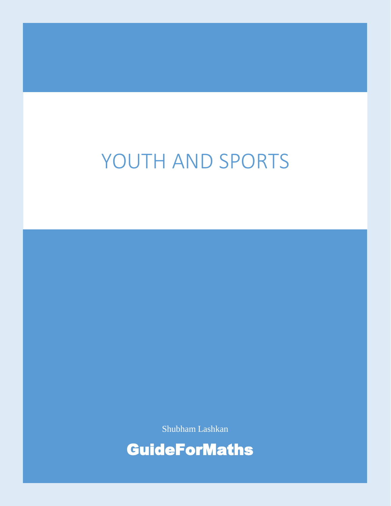# YOUTH AND SPORTS

Shubham Lashkan

GuideForMaths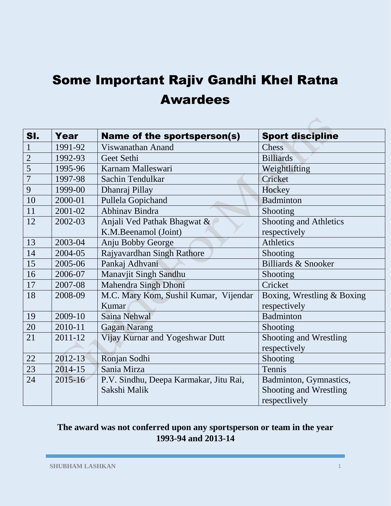### Some Important Rajiv Gandhi Khel Ratna Awardees

| SI.            | Year    | <b>Name of the sportsperson(s)</b>     | <b>Sport discipline</b>        |
|----------------|---------|----------------------------------------|--------------------------------|
| 1              | 1991-92 | Viswanathan Anand                      | Chess                          |
| $\overline{2}$ | 1992-93 | Geet Sethi                             | <b>Billiards</b>               |
| 5              | 1995-96 | Karnam Malleswari                      | Weightlifting                  |
| $\overline{7}$ | 1997-98 | Sachin Tendulkar                       | Cricket                        |
| 9              | 1999-00 | Dhanraj Pillay                         | Hockey                         |
| 10             | 2000-01 | Pullela Gopichand                      | Badminton                      |
| 11             | 2001-02 | <b>Abhinav Bindra</b>                  | Shooting                       |
| 12             | 2002-03 | Anjali Ved Pathak Bhagwat &            | Shooting and Athletics         |
|                |         | K.M.Beenamol (Joint)                   | respectively                   |
| 13             | 2003-04 | Anju Bobby George                      | Athletics                      |
| 14             | 2004-05 | Rajyavardhan Singh Rathore             | Shooting                       |
| 15             | 2005-06 | Pankaj Adhvani                         | <b>Billiards &amp; Snooker</b> |
| 16             | 2006-07 | Manavjit Singh Sandhu                  | Shooting                       |
| 17             | 2007-08 | Mahendra Singh Dhoni                   | Cricket                        |
| 18             | 2008-09 | M.C. Mary Kom, Sushil Kumar, Vijendar  | Boxing, Wrestling & Boxing     |
|                |         | Kumar                                  | respectively                   |
| 19             | 2009-10 | Saina Nehwal                           | <b>Badminton</b>               |
| 20             | 2010-11 | <b>Gagan Narang</b>                    | Shooting                       |
| 21             | 2011-12 | Vijay Kurnar and Yogeshwar Dutt        | Shooting and Wrestling         |
|                |         |                                        | respectively                   |
| 22             | 2012-13 | Ronjan Sodhi                           | Shooting                       |
| 23             | 2014-15 | Sania Mirza                            | Tennis                         |
| 24             | 2015-16 | P.V. Sindhu, Deepa Karmakar, Jitu Rai, | Badminton, Gymnastics,         |
|                |         | Sakshi Malik                           | Shooting and Wrestling         |
|                |         |                                        | respectlively                  |

#### **The award was not conferred upon any sportsperson or team in the year 1993-94 and 2013-14**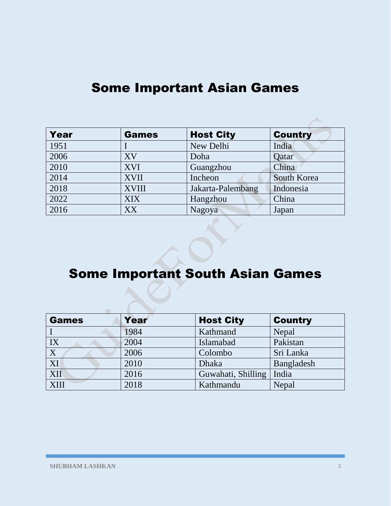| Year | <b>Games</b> | <b>Host City</b>  | <b>Country</b> |
|------|--------------|-------------------|----------------|
| 1951 |              | New Delhi         | India          |
| 2006 | XV           | Doha              | Qatar          |
| 2010 | <b>XVI</b>   | Guangzhou         | China          |
| 2014 | <b>XVII</b>  | Incheon           | South Korea    |
| 2018 | <b>XVIII</b> | Jakarta-Palembang | Indonesia      |
| 2022 | <b>XIX</b>   | Hangzhou          | China          |
| 2016 | XX           | Nagoya            | Japan          |

#### Some Important South Asian Games

| <b>Games</b>            | Year | <b>Host City</b>   | <b>Country</b> |
|-------------------------|------|--------------------|----------------|
|                         | 1984 | Kathmand           | Nepal          |
| IX                      | 2004 | Islamabad          | Pakistan       |
| $\overline{\textbf{X}}$ | 2006 | Colombo            | Sri Lanka      |
| XI                      | 2010 | <b>Dhaka</b>       | Bangladesh     |
| <b>XII</b>              | 2016 | Guwahati, Shilling | India          |
| XIII                    | 2018 | Kathmandu          | Nepal          |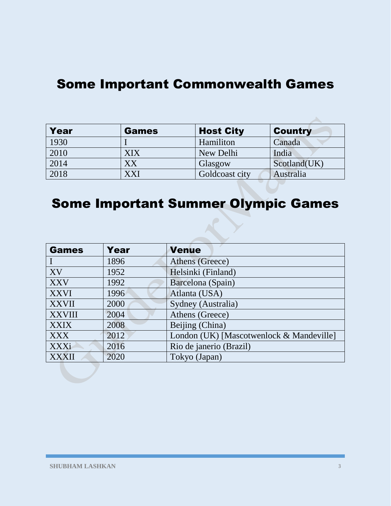#### Some Important Commonwealth Games

| Year | <b>Games</b> | <b>Host City</b> | <b>Country</b> |
|------|--------------|------------------|----------------|
| 1930 |              | Hamiliton        | Canada         |
| 2010 | XIX          | New Delhi        | India          |
| 2014 | XХ           | Glasgow          | Scotland(UK)   |
| 2018 | XXI          | Goldcoast city   | Australia      |

#### Some Important Summer Olympic Games

| <b>Games</b>  | Year | <b>Venue</b>                             |
|---------------|------|------------------------------------------|
|               | 1896 | Athens (Greece)                          |
| XV            | 1952 | Helsinki (Finland)                       |
| <b>XXV</b>    | 1992 | Barcelona (Spain)                        |
| <b>XXVI</b>   | 1996 | Atlanta (USA)                            |
| <b>XXVII</b>  | 2000 | Sydney (Australia)                       |
| <b>XXVIII</b> | 2004 | Athens (Greece)                          |
| <b>XXIX</b>   | 2008 | Beijing (China)                          |
| <b>XXX</b>    | 2012 | London (UK) [Mascotwenlock & Mandeville] |
| <b>XXXi</b>   | 2016 | Rio de janerio (Brazil)                  |
| <b>XXXII</b>  | 2020 | Tokyo (Japan)                            |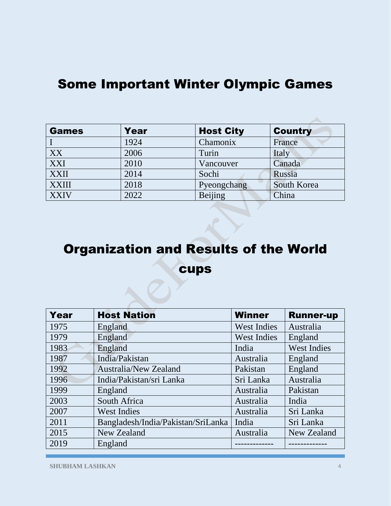#### Some Important Winter Olympic Games

| <b>Games</b> | Year | <b>Host City</b> | <b>Country</b> |
|--------------|------|------------------|----------------|
|              | 1924 | Chamonix         | France         |
| XX           | 2006 | Turin            | Italy          |
| XXI          | 2010 | Vancouver        | Canada         |
| <b>XXII</b>  | 2014 | Sochi            | Russia         |
| <b>XXIII</b> | 2018 | Pyeongchang      | South Korea    |
| <b>XXIV</b>  | 2022 | Beijing          | China          |

## Organization and Results of the World cups

| Year | <b>Host Nation</b>                 | <b>Winner</b>      | <b>Runner-up</b>   |
|------|------------------------------------|--------------------|--------------------|
| 1975 | England                            | <b>West Indies</b> | Australia          |
| 1979 | England                            | <b>West Indies</b> | England            |
| 1983 | England                            | India              | <b>West Indies</b> |
| 1987 | India/Pakistan                     | Australia          | England            |
| 1992 | <b>Australia/New Zealand</b>       | Pakistan           | England            |
| 1996 | India/Pakistan/sri Lanka           | Sri Lanka          | Australia          |
| 1999 | England                            | Australia          | Pakistan           |
| 2003 | South Africa                       | Australia          | India              |
| 2007 | <b>West Indies</b>                 | Australia          | Sri Lanka          |
| 2011 | Bangladesh/India/Pakistan/SriLanka | India              | Sri Lanka          |
| 2015 | New Zealand                        | Australia          | New Zealand        |
| 2019 | England                            |                    |                    |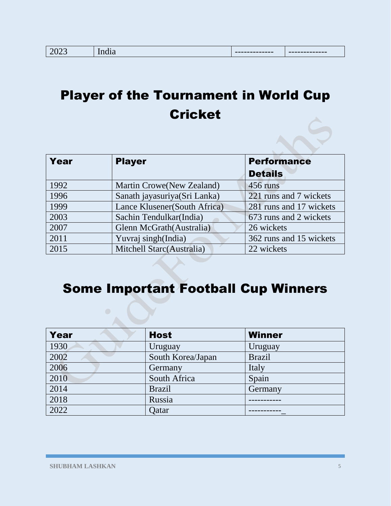### Player of the Tournament in World Cup **Cricket**

| Year | <b>Player</b>                 | <b>Performance</b>      |
|------|-------------------------------|-------------------------|
|      |                               | <b>Details</b>          |
| 1992 | Martin Crowe(New Zealand)     | 456 runs                |
| 1996 | Sanath jayasuriya(Sri Lanka)  | 221 runs and 7 wickets  |
| 1999 | Lance Klusener (South Africa) | 281 runs and 17 wickets |
| 2003 | Sachin Tendulkar(India)       | 673 runs and 2 wickets  |
| 2007 | Glenn McGrath (Australia)     | 26 wickets              |
| 2011 | Yuvraj singh(India)           | 362 runs and 15 wickets |
| 2015 | Mitchell Starc(Australia)     | 22 wickets              |

### Some Important Football Cup Winners

| Year | <b>Host</b>       | <b>Winner</b> |
|------|-------------------|---------------|
| 1930 | Uruguay           | Uruguay       |
| 2002 | South Korea/Japan | <b>Brazil</b> |
| 2006 | Germany           | Italy         |
| 2010 | South Africa      | Spain         |
| 2014 | <b>Brazil</b>     | Germany       |
| 2018 | Russia            |               |
| 2022 | Oatar             |               |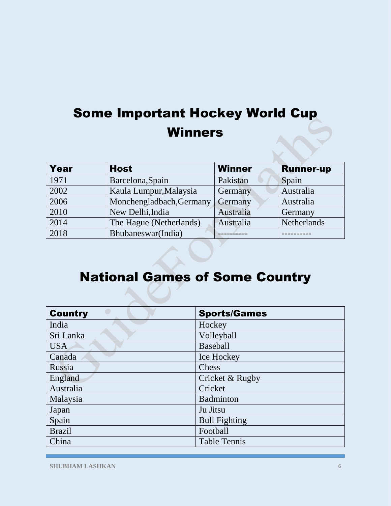#### Some Important Hockey World Cup Winners

| <b>Year</b> | <b>Host</b>              | <b>Winner</b> | <b>Runner-up</b> |
|-------------|--------------------------|---------------|------------------|
| 1971        | Barcelona, Spain         | Pakistan      | Spain            |
| 2002        | Kaula Lumpur, Malaysia   | Germany       | Australia        |
| 2006        | Monchengladbach, Germany | Germany       | Australia        |
| 2010        | New Delhi, India         | Australia     | Germany          |
| 2014        | The Hague (Netherlands)  | Australia     | Netherlands      |
| 2018        | Bhubaneswar(India)       |               |                  |

#### National Games of Some Country

| <b>Country</b> | <b>Sports/Games</b>  |
|----------------|----------------------|
| India          | Hockey               |
| Sri Lanka      | Volleyball           |
| <b>USA</b>     | <b>Baseball</b>      |
| Canada         | Ice Hockey           |
| Russia         | Chess                |
| England        | Cricket & Rugby      |
| Australia      | Cricket              |
| Malaysia       | <b>Badminton</b>     |
| Japan          | Ju Jitsu             |
| Spain          | <b>Bull Fighting</b> |
| <b>Brazil</b>  | Football             |
| China          | <b>Table Tennis</b>  |